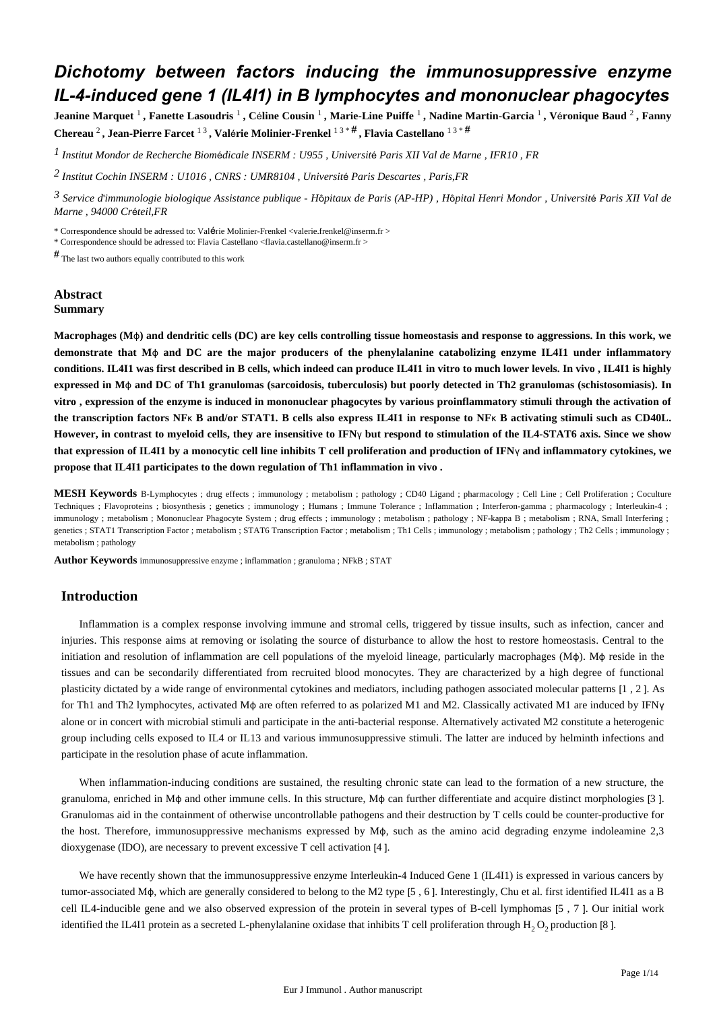# *Dichotomy between factors inducing the immunosuppressive enzyme IL-4-induced gene 1 (IL4I1) in B lymphocytes and mononuclear phagocytes*

**Jeanine Marquet** <sup>1</sup> **, Fanette Lasoudris** <sup>1</sup> **, C**é**line Cousin** <sup>1</sup> **, Marie-Line Puiffe** <sup>1</sup> **, Nadine Martin-Garcia** <sup>1</sup> **, V**é**ronique Baud** <sup>2</sup> **, Fanny Chereau** <sup>2</sup> **, Jean-Pierre Farcet** 1 3 **, Val**é**rie Molinier-Frenkel** 1 3 \* # **, Flavia Castellano** 1 3 \* #

*Institut Mondor de Recherche Biom dicale 1* <sup>é</sup> *INSERM : U955 , Universit*é *Paris XII Val de Marne , IFR10 , FR*

*Institut Cochin 2 INSERM : U1016 , CNRS : UMR8104 , Universit*é *Paris Descartes , Paris,FR*

*Service d immunologie biologique 3*  ' *Assistance publique - H*ô*pitaux de Paris (AP-HP) , H*ô*pital Henri Mondor , Universit*é *Paris XII Val de Marne , 94000 Cr*é*teil,FR*

\* Correspondence should be adressed to: Valérie Molinier-Frenkel <valerie.frenkel@inserm.fr >

\* Correspondence should be adressed to: Flavia Castellano <flavia.castellano@inserm.fr >

# The last two authors equally contributed to this work

## **Abstract Summary**

**Macrophages (M**ϕ**) and dendritic cells (DC) are key cells controlling tissue homeostasis and response to aggressions. In this work, we demonstrate that M**ϕ **and DC are the major producers of the phenylalanine catabolizing enzyme IL4I1 under inflammatory conditions. IL4I1 was first described in B cells, which indeed can produce IL4I1 in vitro to much lower levels. In vivo , IL4I1 is highly expressed in M**ϕ **and DC of Th1 granulomas (sarcoidosis, tuberculosis) but poorly detected in Th2 granulomas (schistosomiasis). In vitro , expression of the enzyme is induced in mononuclear phagocytes by various proinflammatory stimuli through the activation of the transcription factors NF**κ **B and/or STAT1. B cells also express IL4I1 in response to NF**κ **B activating stimuli such as CD40L. However, in contrast to myeloid cells, they are insensitive to IFN**γ **but respond to stimulation of the IL4-STAT6 axis. Since we show that expression of IL4I1 by a monocytic cell line inhibits T cell proliferation and production of IFN**γ **and inflammatory cytokines, we propose that IL4I1 participates to the down regulation of Th1 inflammation in vivo .**

**MESH Keywords** B-Lymphocytes ; drug effects ; immunology ; metabolism ; pathology ; CD40 Ligand ; pharmacology ; Cell Line ; Cell Proliferation ; Coculture Techniques ; Flavoproteins ; biosynthesis ; genetics ; immunology ; Humans ; Immune Tolerance ; Inflammation ; Interferon-gamma ; pharmacology ; Interleukin-4 ; immunology ; metabolism ; Mononuclear Phagocyte System ; drug effects ; immunology ; metabolism ; pathology ; NF-kappa B ; metabolism ; RNA, Small Interfering ; genetics ; STAT1 Transcription Factor ; metabolism ; STAT6 Transcription Factor ; metabolism ; Th1 Cells ; immunology ; metabolism ; pathology ; Th2 Cells ; immunology ; metabolism ; pathology

**Author Keywords** immunosuppressive enzyme ; inflammation ; granuloma ; NFkB ; STAT

## **Introduction**

Inflammation is a complex response involving immune and stromal cells, triggered by tissue insults, such as infection, cancer and injuries. This response aims at removing or isolating the source of disturbance to allow the host to restore homeostasis. Central to the initiation and resolution of inflammation are cell populations of the myeloid lineage, particularly macrophages (Mϕ). Mϕ reside in the tissues and can be secondarily differentiated from recruited blood monocytes. They are characterized by a high degree of functional plasticity dictated by a wide range of environmental cytokines and mediators, including pathogen associated molecular patterns [1 , 2 ]. As for Th1 and Th2 lymphocytes, activated Mϕ are often referred to as polarized M1 and M2. Classically activated M1 are induced by IFNγ alone or in concert with microbial stimuli and participate in the anti-bacterial response. Alternatively activated M2 constitute a heterogenic group including cells exposed to IL4 or IL13 and various immunosuppressive stimuli. The latter are induced by helminth infections and participate in the resolution phase of acute inflammation.

When inflammation-inducing conditions are sustained, the resulting chronic state can lead to the formation of a new structure, the granuloma, enriched in Mϕ and other immune cells. In this structure, Mϕ can further differentiate and acquire distinct morphologies [3 ]. Granulomas aid in the containment of otherwise uncontrollable pathogens and their destruction by T cells could be counter-productive for the host. Therefore, immunosuppressive mechanisms expressed by Mϕ, such as the amino acid degrading enzyme indoleamine 2,3 dioxygenase (IDO), are necessary to prevent excessive T cell activation [4 ].

We have recently shown that the immunosuppressive enzyme Interleukin-4 Induced Gene 1 (IL4I1) is expressed in various cancers by tumor-associated Mϕ, which are generally considered to belong to the M2 type [5 , 6 ]. Interestingly, Chu et al. first identified IL4I1 as a B cell IL4-inducible gene and we also observed expression of the protein in several types of B-cell lymphomas [5 , 7 ]. Our initial work identified the IL4I1 protein as a secreted L-phenylalanine oxidase that inhibits T cell proliferation through  $H_2O_2$  production [8].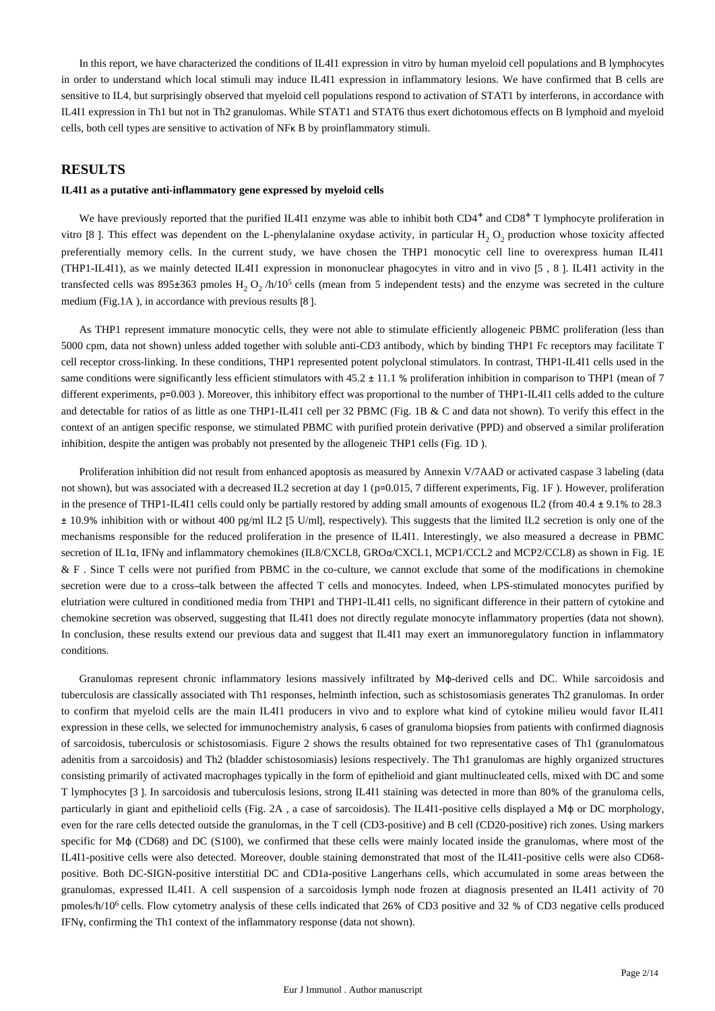In this report, we have characterized the conditions of IL4I1 expression in vitro by human myeloid cell populations and B lymphocytes in order to understand which local stimuli may induce IL4I1 expression in inflammatory lesions. We have confirmed that B cells are sensitive to IL4, but surprisingly observed that myeloid cell populations respond to activation of STAT1 by interferons, in accordance with IL4I1 expression in Th1 but not in Th2 granulomas. While STAT1 and STAT6 thus exert dichotomous effects on B lymphoid and myeloid cells, both cell types are sensitive to activation of NFκ B by proinflammatory stimuli.

## **RESULTS**

#### **IL4I1 as a putative anti-inflammatory gene expressed by myeloid cells**

We have previously reported that the purified IL4I1 enzyme was able to inhibit both  $CD4^+$  and  $CD8^+$  T lymphocyte proliferation in vitro [8]. This effect was dependent on the L-phenylalanine oxydase activity, in particular  $H_2 O_2$  production whose toxicity affected preferentially memory cells. In the current study, we have chosen the THP1 monocytic cell line to overexpress human IL4I1 (THP1-IL4I1), as we mainly detected IL4I1 expression in mononuclear phagocytes in vitro and in vivo [5 , 8 ]. IL4I1 activity in the transfected cells was 895 $\pm$ 363 pmoles  $H_2$  O<sub>2</sub> /h/10<sup>5</sup> cells (mean from 5 independent tests) and the enzyme was secreted in the culture medium (Fig.1A ), in accordance with previous results [8 ].

As THP1 represent immature monocytic cells, they were not able to stimulate efficiently allogeneic PBMC proliferation (less than 5000 cpm, data not shown) unless added together with soluble anti-CD3 antibody, which by binding THP1 Fc receptors may facilitate T cell receptor cross-linking. In these conditions, THP1 represented potent polyclonal stimulators. In contrast, THP1-IL4I1 cells used in the same conditions were significantly less efficient stimulators with  $45.2 \pm 11.1$  % proliferation inhibition in comparison to THP1 (mean of 7 different experiments, p=0.003). Moreover, this inhibitory effect was proportional to the number of THP1-IL4I1 cells added to the culture and detectable for ratios of as little as one THP1-IL4I1 cell per 32 PBMC (Fig. 1B & C and data not shown). To verify this effect in the context of an antigen specific response, we stimulated PBMC with purified protein derivative (PPD) and observed a similar proliferation inhibition, despite the antigen was probably not presented by the allogeneic THP1 cells (Fig. 1D ).

Proliferation inhibition did not result from enhanced apoptosis as measured by Annexin V/7AAD or activated caspase 3 labeling (data not shown), but was associated with a decreased IL2 secretion at day 1 (p=0.015, 7 different experiments, Fig. 1F). However, proliferation in the presence of THP1-IL4I1 cells could only be partially restored by adding small amounts of exogenous IL2 (from 40.4 ± 9.1% to 28.3  $\pm$  10.9% inhibition with or without 400 pg/ml IL2 [5 U/ml], respectively). This suggests that the limited IL2 secretion is only one of the mechanisms responsible for the reduced proliferation in the presence of IL4I1. Interestingly, we also measured a decrease in PBMC secretion of IL1α, IFNγ and inflammatory chemokines (IL8/CXCL8, GROα/CXCL1, MCP1/CCL2 and MCP2/CCL8) as shown in Fig. 1E & F . Since T cells were not purified from PBMC in the co-culture, we cannot exclude that some of the modifications in chemokine secretion were due to a cross-talk between the affected T cells and monocytes. Indeed, when LPS-stimulated monocytes purified by elutriation were cultured in conditioned media from THP1 and THP1-IL4I1 cells, no significant difference in their pattern of cytokine and chemokine secretion was observed, suggesting that IL4I1 does not directly regulate monocyte inflammatory properties (data not shown). In conclusion, these results extend our previous data and suggest that IL4I1 may exert an immunoregulatory function in inflammatory conditions.

Granulomas represent chronic inflammatory lesions massively infiltrated by Mϕ-derived cells and DC. While sarcoidosis and tuberculosis are classically associated with Th1 responses, helminth infection, such as schistosomiasis generates Th2 granulomas. In order to confirm that myeloid cells are the main IL4I1 producers in vivo and to explore what kind of cytokine milieu would favor IL4I1 expression in these cells, we selected for immunochemistry analysis, 6 cases of granuloma biopsies from patients with confirmed diagnosis of sarcoidosis, tuberculosis or schistosomiasis. Figure 2 shows the results obtained for two representative cases of Th1 (granulomatous adenitis from a sarcoidosis) and Th2 (bladder schistosomiasis) lesions respectively. The Th1 granulomas are highly organized structures consisting primarily of activated macrophages typically in the form of epithelioid and giant multinucleated cells, mixed with DC and some T lymphocytes [3 ]. In sarcoidosis and tuberculosis lesions, strong IL4I1 staining was detected in more than 80% of the granuloma cells, particularly in giant and epithelioid cells (Fig. 2A , a case of sarcoidosis). The IL4I1-positive cells displayed a Mϕ or DC morphology, even for the rare cells detected outside the granulomas, in the T cell (CD3-positive) and B cell (CD20-positive) rich zones. Using markers specific for Mφ (CD68) and DC (S100), we confirmed that these cells were mainly located inside the granulomas, where most of the IL4I1-positive cells were also detected. Moreover, double staining demonstrated that most of the IL4I1-positive cells were also CD68 positive. Both DC-SIGN-positive interstitial DC and CD1a-positive Langerhans cells, which accumulated in some areas between the granulomas, expressed IL4I1. A cell suspension of a sarcoidosis lymph node frozen at diagnosis presented an IL4I1 activity of 70 pmoles/h/10<sup>6</sup> cells. Flow cytometry analysis of these cells indicated that 26% of CD3 positive and 32 % of CD3 negative cells produced IFNγ, confirming the Th1 context of the inflammatory response (data not shown).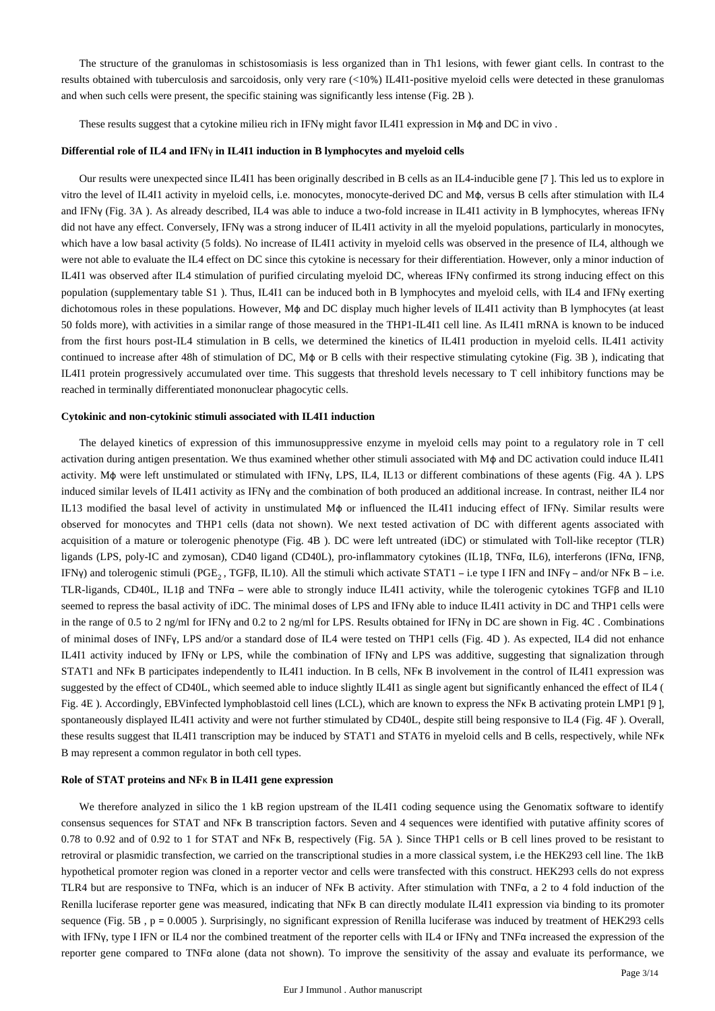The structure of the granulomas in schistosomiasis is less organized than in Th1 lesions, with fewer giant cells. In contrast to the results obtained with tuberculosis and sarcoidosis, only very rare (<10%) IL4I1-positive myeloid cells were detected in these granulomas and when such cells were present, the specific staining was significantly less intense (Fig. 2B ).

These results suggest that a cytokine milieu rich in IFNγ might favor IL4I1 expression in M $\phi$  and DC in vivo .

#### **Differential role of IL4 and IFN**γ **in IL4I1 induction in B lymphocytes and myeloid cells**

Our results were unexpected since IL4I1 has been originally described in B cells as an IL4-inducible gene [7 ]. This led us to explore in vitro the level of IL4I1 activity in myeloid cells, i.e. monocytes, monocyte-derived DC and Mϕ, versus B cells after stimulation with IL4 and IFNγ (Fig. 3A ). As already described, IL4 was able to induce a two-fold increase in IL4I1 activity in B lymphocytes, whereas IFNγ did not have any effect. Conversely, IFNγ was a strong inducer of IL4I1 activity in all the myeloid populations, particularly in monocytes, which have a low basal activity (5 folds). No increase of IL4I1 activity in myeloid cells was observed in the presence of IL4, although we were not able to evaluate the IL4 effect on DC since this cytokine is necessary for their differentiation. However, only a minor induction of IL4I1 was observed after IL4 stimulation of purified circulating myeloid DC, whereas IFNγ confirmed its strong inducing effect on this population (supplementary table S1 ). Thus, IL4I1 can be induced both in B lymphocytes and myeloid cells, with IL4 and IFNγ exerting dichotomous roles in these populations. However, Mϕ and DC display much higher levels of IL4I1 activity than B lymphocytes (at least 50 folds more), with activities in a similar range of those measured in the THP1-IL4I1 cell line. As IL4I1 mRNA is known to be induced from the first hours post-IL4 stimulation in B cells, we determined the kinetics of IL4I1 production in myeloid cells. IL4I1 activity continued to increase after 48h of stimulation of DC, Mϕ or B cells with their respective stimulating cytokine (Fig. 3B ), indicating that IL4I1 protein progressively accumulated over time. This suggests that threshold levels necessary to T cell inhibitory functions may be reached in terminally differentiated mononuclear phagocytic cells.

#### **Cytokinic and non-cytokinic stimuli associated with IL4I1 induction**

The delayed kinetics of expression of this immunosuppressive enzyme in myeloid cells may point to a regulatory role in T cell activation during antigen presentation. We thus examined whether other stimuli associated with Mϕ and DC activation could induce IL4I1 activity. Mϕ were left unstimulated or stimulated with IFNγ, LPS, IL4, IL13 or different combinations of these agents (Fig. 4A ). LPS induced similar levels of IL4I1 activity as IFNγ and the combination of both produced an additional increase. In contrast, neither IL4 nor IL13 modified the basal level of activity in unstimulated Mϕ or influenced the IL4I1 inducing effect of IFNγ. Similar results were observed for monocytes and THP1 cells (data not shown). We next tested activation of DC with different agents associated with acquisition of a mature or tolerogenic phenotype (Fig. 4B ). DC were left untreated (iDC) or stimulated with Toll-like receptor (TLR) ligands (LPS, poly-IC and zymosan), CD40 ligand (CD40L), pro-inflammatory cytokines (IL1β, TNFα, IL6), interferons (IFNα, IFNβ, IFNy) and tolerogenic stimuli (PGE, TGFB, IL10). All the stimuli which activate STAT1 – i.e type I IFN and INF  $\gamma$  – and/or NF  $\kappa$  B – i.e. TLR-ligands, CD40L, IL1β and TNFα – were able to strongly induce IL4I1 activity, while the tolerogenic cytokines TGFβ and IL10 seemed to repress the basal activity of iDC. The minimal doses of LPS and IFNy able to induce IL4I1 activity in DC and THP1 cells were in the range of 0.5 to 2 ng/ml for IFNγ and 0.2 to 2 ng/ml for LPS. Results obtained for IFNγ in DC are shown in Fig. 4C . Combinations of minimal doses of INFγ, LPS and/or a standard dose of IL4 were tested on THP1 cells (Fig. 4D ). As expected, IL4 did not enhance IL4I1 activity induced by IFNγ or LPS, while the combination of IFNγ and LPS was additive, suggesting that signalization through STAT1 and NF<sub>K</sub> B participates independently to IL4I1 induction. In B cells, NF<sub>K</sub> B involvement in the control of IL4I1 expression was suggested by the effect of CD40L, which seemed able to induce slightly IL4I1 as single agent but significantly enhanced the effect of IL4 ( Fig. 4E ). Accordingly, EBVinfected lymphoblastoid cell lines (LCL), which are known to express the NFκ B activating protein LMP1 [9 ], spontaneously displayed IL4I1 activity and were not further stimulated by CD40L, despite still being responsive to IL4 (Fig. 4F ). Overall, these results suggest that IL4I1 transcription may be induced by STAT1 and STAT6 in myeloid cells and B cells, respectively, while NFκ B may represent a common regulator in both cell types.

#### **Role of STAT proteins and NF**κ **B in IL4I1 gene expression**

We therefore analyzed in silico the 1 kB region upstream of the IL4I1 coding sequence using the Genomatix software to identify consensus sequences for STAT and NFκ B transcription factors. Seven and 4 sequences were identified with putative affinity scores of 0.78 to 0.92 and of 0.92 to 1 for STAT and NFκ B, respectively (Fig. 5A ). Since THP1 cells or B cell lines proved to be resistant to retroviral or plasmidic transfection, we carried on the transcriptional studies in a more classical system, i.e the HEK293 cell line. The 1kB hypothetical promoter region was cloned in a reporter vector and cells were transfected with this construct. HEK293 cells do not express TLR4 but are responsive to TNFα, which is an inducer of NFκ B activity. After stimulation with TNFα, a 2 to 4 fold induction of the Renilla luciferase reporter gene was measured, indicating that NFK B can directly modulate IL4I1 expression via binding to its promoter sequence (Fig. 5B, p = 0.0005). Surprisingly, no significant expression of Renilla luciferase was induced by treatment of HEK293 cells with IFNγ, type I IFN or IL4 nor the combined treatment of the reporter cells with IL4 or IFNγ and TNFα increased the expression of the reporter gene compared to TNFα alone (data not shown). To improve the sensitivity of the assay and evaluate its performance, we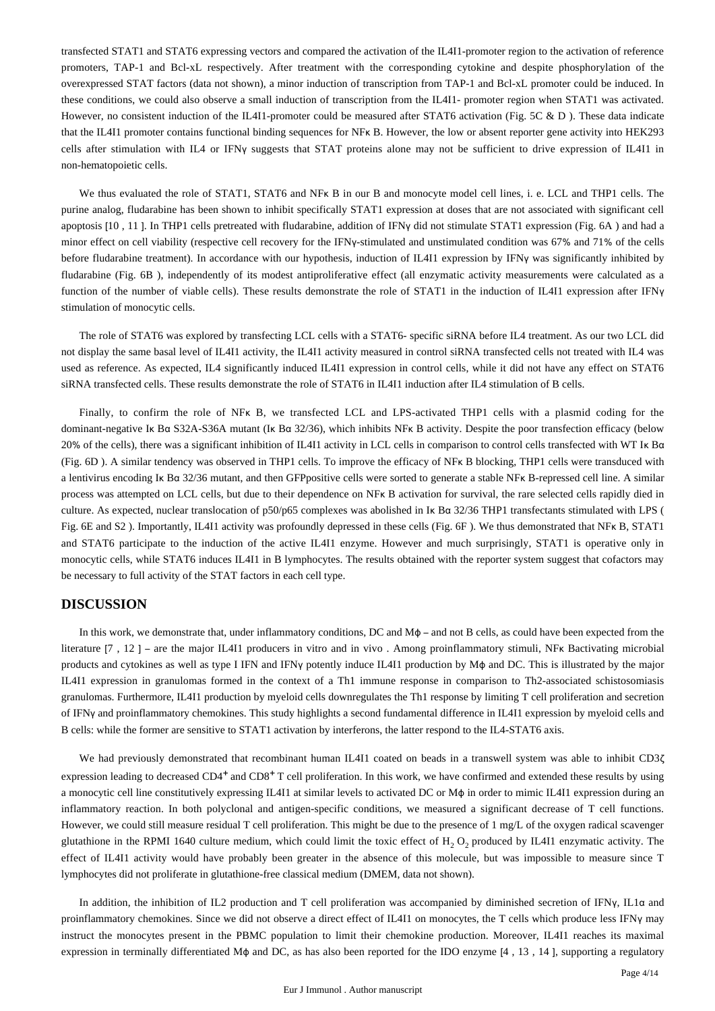transfected STAT1 and STAT6 expressing vectors and compared the activation of the IL4I1-promoter region to the activation of reference promoters, TAP-1 and Bcl-xL respectively. After treatment with the corresponding cytokine and despite phosphorylation of the overexpressed STAT factors (data not shown), a minor induction of transcription from TAP-1 and Bcl-xL promoter could be induced. In these conditions, we could also observe a small induction of transcription from the IL4I1- promoter region when STAT1 was activated. However, no consistent induction of the IL4I1-promoter could be measured after STAT6 activation (Fig. 5C & D). These data indicate that the IL4I1 promoter contains functional binding sequences for NFκ B. However, the low or absent reporter gene activity into HEK293 cells after stimulation with IL4 or IFNγ suggests that STAT proteins alone may not be sufficient to drive expression of IL4I1 in non-hematopoietic cells.

We thus evaluated the role of STAT1, STAT6 and NFK B in our B and monocyte model cell lines, i. e. LCL and THP1 cells. The purine analog, fludarabine has been shown to inhibit specifically STAT1 expression at doses that are not associated with significant cell apoptosis [10, 11]. In THP1 cells pretreated with fludarabine, addition of IFNγ did not stimulate STAT1 expression (Fig. 6A) and had a minor effect on cell viability (respective cell recovery for the IFNγ-stimulated and unstimulated condition was 67% and 71% of the cells before fludarabine treatment). In accordance with our hypothesis, induction of IL4I1 expression by IFNγ was significantly inhibited by fludarabine (Fig. 6B ), independently of its modest antiproliferative effect (all enzymatic activity measurements were calculated as a function of the number of viable cells). These results demonstrate the role of STAT1 in the induction of IL4I1 expression after IFN<sub>Y</sub> stimulation of monocytic cells.

The role of STAT6 was explored by transfecting LCL cells with a STAT6- specific siRNA before IL4 treatment. As our two LCL did not display the same basal level of IL4I1 activity, the IL4I1 activity measured in control siRNA transfected cells not treated with IL4 was used as reference. As expected, IL4 significantly induced IL4I1 expression in control cells, while it did not have any effect on STAT6 siRNA transfected cells. These results demonstrate the role of STAT6 in IL4I1 induction after IL4 stimulation of B cells.

Finally, to confirm the role of NFκ B, we transfected LCL and LPS-activated THP1 cells with a plasmid coding for the dominant-negative Iκ Bα S32A-S36A mutant (Iκ Bα 32/36), which inhibits NFκ B activity. Despite the poor transfection efficacy (below 20% of the cells), there was a significant inhibition of IL4I1 activity in LCL cells in comparison to control cells transfected with WT Iκ Bα (Fig. 6D ). A similar tendency was observed in THP1 cells. To improve the efficacy of NFκ B blocking, THP1 cells were transduced with a lentivirus encoding Iκ Bα 32/36 mutant, and then GFPpositive cells were sorted to generate a stable NFκ B-repressed cell line. A similar process was attempted on LCL cells, but due to their dependence on NFκ B activation for survival, the rare selected cells rapidly died in culture. As expected, nuclear translocation of p50/p65 complexes was abolished in Iκ Bα 32/36 THP1 transfectants stimulated with LPS ( Fig. 6E and S2 ). Importantly, IL4I1 activity was profoundly depressed in these cells (Fig. 6F ). We thus demonstrated that NFκ B, STAT1 and STAT6 participate to the induction of the active IL4I1 enzyme. However and much surprisingly, STAT1 is operative only in monocytic cells, while STAT6 induces IL4I1 in B lymphocytes. The results obtained with the reporter system suggest that cofactors may be necessary to full activity of the STAT factors in each cell type.

## **DISCUSSION**

In this work, we demonstrate that, under inflammatory conditions, DC and Mϕ – and not B cells, as could have been expected from the literature [7 , 12 ] – are the major IL4I1 producers in vitro and in vivo . Among proinflammatory stimuli, NFκ Bactivating microbial products and cytokines as well as type I IFN and IFNγ potently induce IL4I1 production by Mϕ and DC. This is illustrated by the major IL4I1 expression in granulomas formed in the context of a Th1 immune response in comparison to Th2-associated schistosomiasis granulomas. Furthermore, IL4I1 production by myeloid cells downregulates the Th1 response by limiting T cell proliferation and secretion of IFNγ and proinflammatory chemokines. This study highlights a second fundamental difference in IL4I1 expression by myeloid cells and B cells: while the former are sensitive to STAT1 activation by interferons, the latter respond to the IL4-STAT6 axis.

We had previously demonstrated that recombinant human IL4I1 coated on beads in a transwell system was able to inhibit CD3ζ expression leading to decreased  $CD4^+$  and  $CD8^+$  T cell proliferation. In this work, we have confirmed and extended these results by using a monocytic cell line constitutively expressing IL4I1 at similar levels to activated DC or Mϕ in order to mimic IL4I1 expression during an inflammatory reaction. In both polyclonal and antigen-specific conditions, we measured a significant decrease of T cell functions. However, we could still measure residual T cell proliferation. This might be due to the presence of 1 mg/L of the oxygen radical scavenger glutathione in the RPMI 1640 culture medium, which could limit the toxic effect of  $H_2O_2$  produced by IL4I1 enzymatic activity. The effect of IL4I1 activity would have probably been greater in the absence of this molecule, but was impossible to measure since T lymphocytes did not proliferate in glutathione-free classical medium (DMEM, data not shown).

In addition, the inhibition of IL2 production and T cell proliferation was accompanied by diminished secretion of IFNγ, IL1α and proinflammatory chemokines. Since we did not observe a direct effect of IL4I1 on monocytes, the T cells which produce less IFNγ may instruct the monocytes present in the PBMC population to limit their chemokine production. Moreover, IL4I1 reaches its maximal expression in terminally differentiated Mϕ and DC, as has also been reported for the IDO enzyme [4 , 13 , 14 ], supporting a regulatory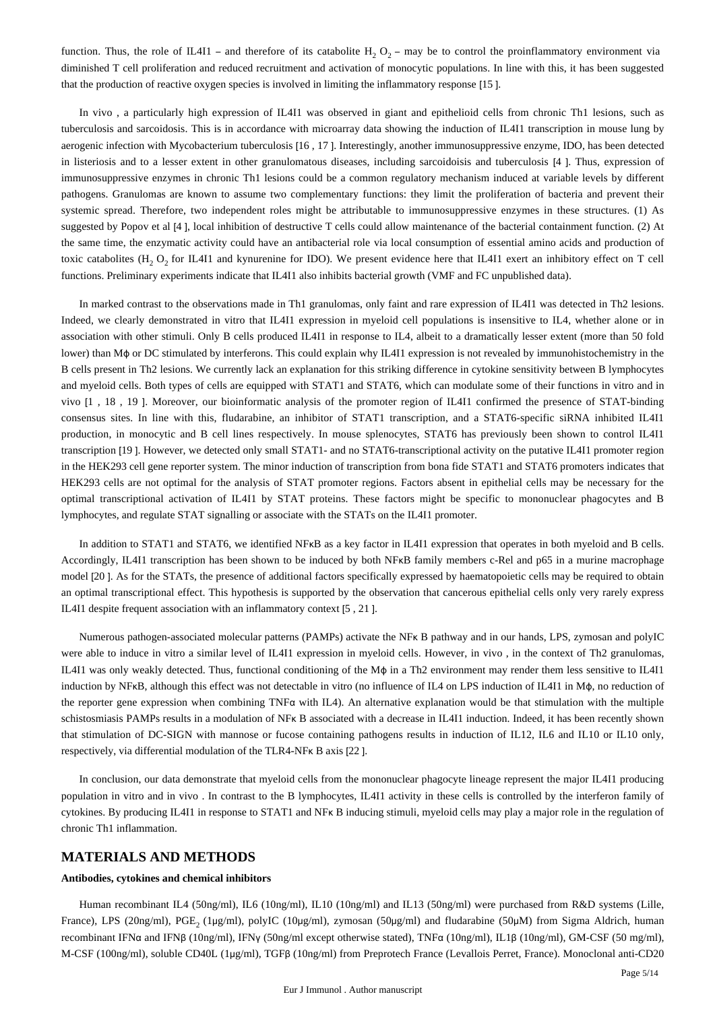function. Thus, the role of IL4I1 – and therefore of its catabolite H,  $O_2$  – may be to control the proinflammatory environment via diminished T cell proliferation and reduced recruitment and activation of monocytic populations. In line with this, it has been suggested that the production of reactive oxygen species is involved in limiting the inflammatory response [15 ].

In vivo , a particularly high expression of IL4I1 was observed in giant and epithelioid cells from chronic Th1 lesions, such as tuberculosis and sarcoidosis. This is in accordance with microarray data showing the induction of IL4I1 transcription in mouse lung by aerogenic infection with Mycobacterium tuberculosis [16 , 17 ]. Interestingly, another immunosuppressive enzyme, IDO, has been detected in listeriosis and to a lesser extent in other granulomatous diseases, including sarcoidoisis and tuberculosis [4 ]. Thus, expression of immunosuppressive enzymes in chronic Th1 lesions could be a common regulatory mechanism induced at variable levels by different pathogens. Granulomas are known to assume two complementary functions: they limit the proliferation of bacteria and prevent their systemic spread. Therefore, two independent roles might be attributable to immunosuppressive enzymes in these structures. (1) As suggested by Popov et al [4 ], local inhibition of destructive T cells could allow maintenance of the bacterial containment function. (2) At the same time, the enzymatic activity could have an antibacterial role via local consumption of essential amino acids and production of toxic catabolites  $(H, O, for IL411$  and kynurenine for IDO). We present evidence here that IL4I1 exert an inhibitory effect on T cell functions. Preliminary experiments indicate that IL4I1 also inhibits bacterial growth (VMF and FC unpublished data).

In marked contrast to the observations made in Th1 granulomas, only faint and rare expression of IL4I1 was detected in Th2 lesions. Indeed, we clearly demonstrated in vitro that IL4I1 expression in myeloid cell populations is insensitive to IL4, whether alone or in association with other stimuli. Only B cells produced IL4I1 in response to IL4, albeit to a dramatically lesser extent (more than 50 fold lower) than Mϕ or DC stimulated by interferons. This could explain why IL4I1 expression is not revealed by immunohistochemistry in the B cells present in Th2 lesions. We currently lack an explanation for this striking difference in cytokine sensitivity between B lymphocytes and myeloid cells. Both types of cells are equipped with STAT1 and STAT6, which can modulate some of their functions in vitro and in vivo [1 , 18 , 19 ]. Moreover, our bioinformatic analysis of the promoter region of IL4I1 confirmed the presence of STAT-binding consensus sites. In line with this, fludarabine, an inhibitor of STAT1 transcription, and a STAT6-specific siRNA inhibited IL4I1 production, in monocytic and B cell lines respectively. In mouse splenocytes, STAT6 has previously been shown to control IL4I1 transcription [19 ]. However, we detected only small STAT1- and no STAT6-transcriptional activity on the putative IL4I1 promoter region in the HEK293 cell gene reporter system. The minor induction of transcription from bona fide STAT1 and STAT6 promoters indicates that HEK293 cells are not optimal for the analysis of STAT promoter regions. Factors absent in epithelial cells may be necessary for the optimal transcriptional activation of IL4I1 by STAT proteins. These factors might be specific to mononuclear phagocytes and B lymphocytes, and regulate STAT signalling or associate with the STATs on the IL4I1 promoter.

In addition to STAT1 and STAT6, we identified NFκB as a key factor in IL4I1 expression that operates in both myeloid and B cells. Accordingly, IL4I1 transcription has been shown to be induced by both NFKB family members c-Rel and p65 in a murine macrophage model [20 ]. As for the STATs, the presence of additional factors specifically expressed by haematopoietic cells may be required to obtain an optimal transcriptional effect. This hypothesis is supported by the observation that cancerous epithelial cells only very rarely express IL4I1 despite frequent association with an inflammatory context [5 , 21 ].

Numerous pathogen-associated molecular patterns (PAMPs) activate the NFκ B pathway and in our hands, LPS, zymosan and polyIC were able to induce in vitro a similar level of IL4I1 expression in myeloid cells. However, in vivo, in the context of Th2 granulomas, IL4I1 was only weakly detected. Thus, functional conditioning of the Mϕ in a Th2 environment may render them less sensitive to IL4I1 induction by NFκB, although this effect was not detectable in vitro (no influence of IL4 on LPS induction of IL4I1 in Mϕ, no reduction of the reporter gene expression when combining TNFα with IL4). An alternative explanation would be that stimulation with the multiple schistosmiasis PAMPs results in a modulation of NF<sub>K</sub> B associated with a decrease in IL411 induction. Indeed, it has been recently shown that stimulation of DC-SIGN with mannose or fucose containing pathogens results in induction of IL12, IL6 and IL10 or IL10 only, respectively, via differential modulation of the TLR4-NFκ B axis [22 ].

In conclusion, our data demonstrate that myeloid cells from the mononuclear phagocyte lineage represent the major IL4I1 producing population in vitro and in vivo . In contrast to the B lymphocytes, IL4I1 activity in these cells is controlled by the interferon family of cytokines. By producing IL4I1 in response to STAT1 and NFκ B inducing stimuli, myeloid cells may play a major role in the regulation of chronic Th1 inflammation.

## **MATERIALS AND METHODS**

## **Antibodies, cytokines and chemical inhibitors**

Human recombinant IL4 (50ng/ml), IL6 (10ng/ml), IL10 (10ng/ml) and IL13 (50ng/ml) were purchased from R&D systems (Lille, France), LPS (20ng/ml), PGE, (1μg/ml), polyIC (10μg/ml), zymosan (50μg/ml) and fludarabine (50μM) from Sigma Aldrich, human recombinant IFNα and IFNβ (10ng/ml), IFNγ (50ng/ml except otherwise stated), TNFα (10ng/ml), IL1β (10ng/ml), GM-CSF (50 mg/ml), M-CSF (100ng/ml), soluble CD40L (1μg/ml), TGFβ (10ng/ml) from Preprotech France (Levallois Perret, France). Monoclonal anti-CD20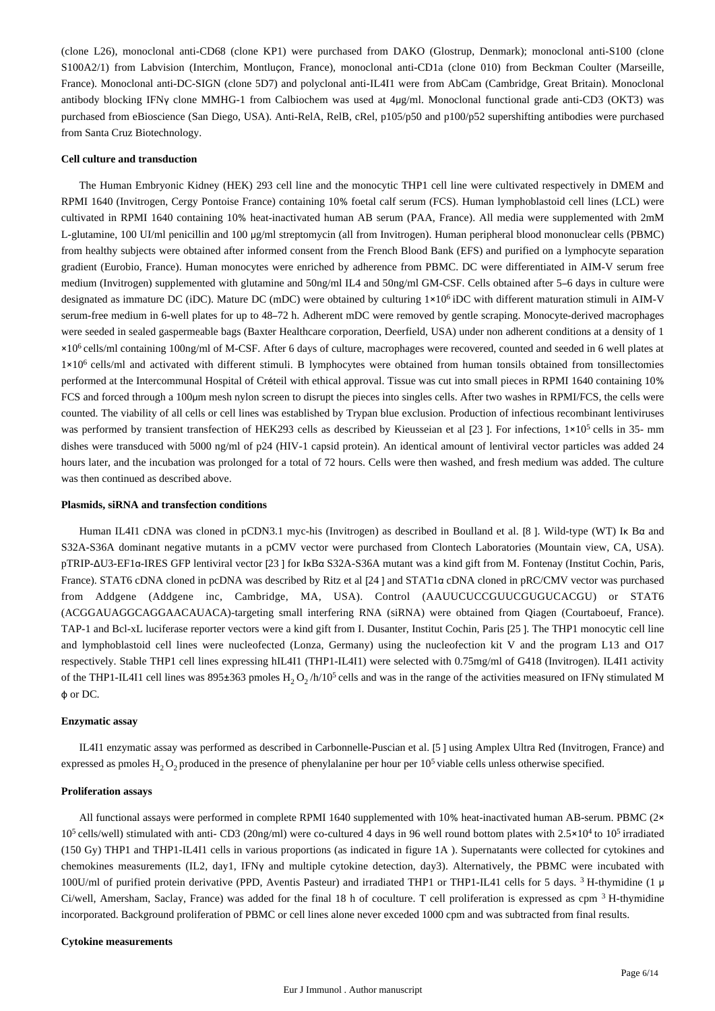(clone L26), monoclonal anti-CD68 (clone KP1) were purchased from DAKO (Glostrup, Denmark); monoclonal anti-S100 (clone S100A2/1) from Labvision (Interchim, Montluçon, France), monoclonal anti-CD1a (clone 010) from Beckman Coulter (Marseille, France). Monoclonal anti-DC-SIGN (clone 5D7) and polyclonal anti-IL4I1 were from AbCam (Cambridge, Great Britain). Monoclonal antibody blocking IFNγ clone MMHG-1 from Calbiochem was used at 4μg/ml. Monoclonal functional grade anti-CD3 (OKT3) was purchased from eBioscience (San Diego, USA). Anti-RelA, RelB, cRel, p105/p50 and p100/p52 supershifting antibodies were purchased from Santa Cruz Biotechnology.

#### **Cell culture and transduction**

The Human Embryonic Kidney (HEK) 293 cell line and the monocytic THP1 cell line were cultivated respectively in DMEM and RPMI 1640 (Invitrogen, Cergy Pontoise France) containing 10% foetal calf serum (FCS). Human lymphoblastoid cell lines (LCL) were cultivated in RPMI 1640 containing 10% heat-inactivated human AB serum (PAA, France). All media were supplemented with 2mM L-glutamine, 100 UI/ml penicillin and 100 μg/ml streptomycin (all from Invitrogen). Human peripheral blood mononuclear cells (PBMC) from healthy subjects were obtained after informed consent from the French Blood Bank (EFS) and purified on a lymphocyte separation gradient (Eurobio, France). Human monocytes were enriched by adherence from PBMC. DC were differentiated in AIM-V serum free medium (Invitrogen) supplemented with glutamine and 50ng/ml IL4 and 50ng/ml GM-CSF. Cells obtained after 5–6 days in culture were designated as immature DC (iDC). Mature DC (mDC) were obtained by culturing 1×10<sup>6</sup> iDC with different maturation stimuli in AIM-V serum-free medium in 6-well plates for up to 48–72 h. Adherent mDC were removed by gentle scraping. Monocyte-derived macrophages were seeded in sealed gaspermeable bags (Baxter Healthcare corporation, Deerfield, USA) under non adherent conditions at a density of 1 ×10 cells/ml containing 100ng/ml of M-CSF. After 6 days of culture, macrophages were recovered, counted and seeded in 6 well plates at <sup>6</sup> 1×10<sup>6</sup> cells/ml and activated with different stimuli. B lymphocytes were obtained from human tonsils obtained from tonsillectomies performed at the Intercommunal Hospital of Créteil with ethical approval. Tissue was cut into small pieces in RPMI 1640 containing 10% FCS and forced through a 100μm mesh nylon screen to disrupt the pieces into singles cells. After two washes in RPMI/FCS, the cells were counted. The viability of all cells or cell lines was established by Trypan blue exclusion. Production of infectious recombinant lentiviruses was performed by transient transfection of HEK293 cells as described by Kieusseian et al [23]. For infections,  $1 \times 10^5$  cells in 35- mm dishes were transduced with 5000 ng/ml of p24 (HIV-1 capsid protein). An identical amount of lentiviral vector particles was added 24 hours later, and the incubation was prolonged for a total of 72 hours. Cells were then washed, and fresh medium was added. The culture was then continued as described above.

#### **Plasmids, siRNA and transfection conditions**

Human IL4I1 cDNA was cloned in pCDN3.1 myc-his (Invitrogen) as described in Boulland et al. [8 ]. Wild-type (WT) Iκ Bα and S32A-S36A dominant negative mutants in a pCMV vector were purchased from Clontech Laboratories (Mountain view, CA, USA). pTRIP-ΔU3-EF1α-IRES GFP lentiviral vector [23 ] for IκBα S32A-S36A mutant was a kind gift from M. Fontenay (Institut Cochin, Paris, France). STAT6 cDNA cloned in pcDNA was described by Ritz et al [24 ] and STAT1α cDNA cloned in pRC/CMV vector was purchased from Addgene (Addgene inc, Cambridge, MA, USA). Control (AAUUCUCCGUUCGUGUCACGU) or STAT6 (ACGGAUAGGCAGGAACAUACA)-targeting small interfering RNA (siRNA) were obtained from Qiagen (Courtaboeuf, France). TAP-1 and Bcl-xL luciferase reporter vectors were a kind gift from I. Dusanter, Institut Cochin, Paris [25 ]. The THP1 monocytic cell line and lymphoblastoid cell lines were nucleofected (Lonza, Germany) using the nucleofection kit V and the program L13 and O17 respectively. Stable THP1 cell lines expressing hIL4I1 (THP1-IL4I1) were selected with 0.75mg/ml of G418 (Invitrogen). IL4I1 activity of the THP1-IL4I1 cell lines was 895±363 pmoles  $H_2 O_2/h/10^5$  cells and was in the range of the activities measured on IFNγ stimulated M ϕ or DC.

#### **Enzymatic assay**

IL4I1 enzymatic assay was performed as described in Carbonnelle-Puscian et al. [5 ] using Amplex Ultra Red (Invitrogen, France) and expressed as pmoles  $H_2O_2$  produced in the presence of phenylalanine per hour per 10<sup>5</sup> viable cells unless otherwise specified.

#### **Proliferation assays**

All functional assays were performed in complete RPMI 1640 supplemented with 10% heat-inactivated human AB-serum. PBMC (2×  $10^5$  cells/well) stimulated with anti- CD3 (20ng/ml) were co-cultured 4 days in 96 well round bottom plates with  $2.5 \times 10^4$  to  $10^5$  irradiated (150 Gy) THP1 and THP1-IL4I1 cells in various proportions (as indicated in figure 1A ). Supernatants were collected for cytokines and chemokines measurements (IL2, day1, IFNγ and multiple cytokine detection, day3). Alternatively, the PBMC were incubated with 100U/ml of purified protein derivative (PPD, Aventis Pasteur) and irradiated THP1 or THP1-IL41 cells for 5 days. <sup>3</sup> H-thymidine (1 μ Ci/well, Amersham, Saclay, France) was added for the final 18 h of coculture. T cell proliferation is expressed as cpm  $3$  H-thymidine incorporated. Background proliferation of PBMC or cell lines alone never exceded 1000 cpm and was subtracted from final results.

#### **Cytokine measurements**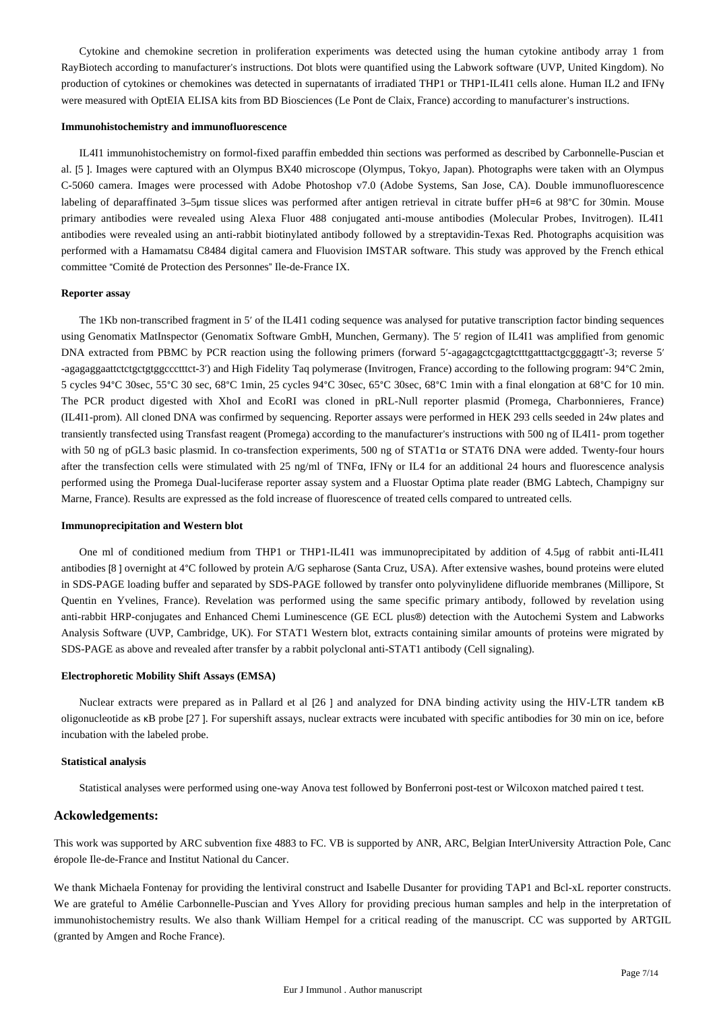Cytokine and chemokine secretion in proliferation experiments was detected using the human cytokine antibody array 1 from RayBiotech according to manufacturer's instructions. Dot blots were quantified using the Labwork software (UVP, United Kingdom). No production of cytokines or chemokines was detected in supernatants of irradiated THP1 or THP1-IL4I1 cells alone. Human IL2 and IFNy were measured with OptEIA ELISA kits from BD Biosciences (Le Pont de Claix, France) according to manufacturer's instructions.

#### **Immunohistochemistry and immunofluorescence**

IL4I1 immunohistochemistry on formol-fixed paraffin embedded thin sections was performed as described by Carbonnelle-Puscian et al. [5 ]. Images were captured with an Olympus BX40 microscope (Olympus, Tokyo, Japan). Photographs were taken with an Olympus C-5060 camera. Images were processed with Adobe Photoshop v7.0 (Adobe Systems, San Jose, CA). Double immunofluorescence labeling of deparaffinated 3–5µm tissue slices was performed after antigen retrieval in citrate buffer pH=6 at 98°C for 30min. Mouse primary antibodies were revealed using Alexa Fluor 488 conjugated anti-mouse antibodies (Molecular Probes, Invitrogen). IL4I1 antibodies were revealed using an anti-rabbit biotinylated antibody followed by a streptavidin-Texas Red. Photographs acquisition was performed with a Hamamatsu C8484 digital camera and Fluovision IMSTAR software. This study was approved by the French ethical committee "Comité de Protection des Personnes" Ile-de-France IX.

#### **Reporter assay**

The 1Kb non-transcribed fragment in 5' of the IL4I1 coding sequence was analysed for putative transcription factor binding sequences using Genomatix MatInspector (Genomatix Software GmbH, Munchen, Germany). The 5′ region of IL4I1 was amplified from genomic DNA extracted from PBMC by PCR reaction using the following primers (forward 5'-agagagctcgagtctttgatttactgcgggagtt'-3; reverse 5' -agagaggaattctctgctgtggccctttct-3′) and High Fidelity Taq polymerase (Invitrogen, France) according to the following program: 94°C 2min, 5 cycles 94°C 30sec, 55°C 30 sec, 68°C 1min, 25 cycles 94°C 30sec, 65°C 30sec, 68°C 1min with a final elongation at 68°C for 10 min. The PCR product digested with XhoI and EcoRI was cloned in pRL-Null reporter plasmid (Promega, Charbonnieres, France) (IL4I1-prom). All cloned DNA was confirmed by sequencing. Reporter assays were performed in HEK 293 cells seeded in 24w plates and transiently transfected using Transfast reagent (Promega) according to the manufacturer's instructions with 500 ng of IL4I1- prom together with 50 ng of pGL3 basic plasmid. In co-transfection experiments, 500 ng of STAT1α or STAT6 DNA were added. Twenty-four hours after the transfection cells were stimulated with 25 ng/ml of TNFα, IFNγ or IL4 for an additional 24 hours and fluorescence analysis performed using the Promega Dual-luciferase reporter assay system and a Fluostar Optima plate reader (BMG Labtech, Champigny sur Marne, France). Results are expressed as the fold increase of fluorescence of treated cells compared to untreated cells.

#### **Immunoprecipitation and Western blot**

One ml of conditioned medium from THP1 or THP1-IL4I1 was immunoprecipitated by addition of 4.5μg of rabbit anti-IL4I1 antibodies [8 ] overnight at 4°C followed by protein A/G sepharose (Santa Cruz, USA). After extensive washes, bound proteins were eluted in SDS-PAGE loading buffer and separated by SDS-PAGE followed by transfer onto polyvinylidene difluoride membranes (Millipore, St Quentin en Yvelines, France). Revelation was performed using the same specific primary antibody, followed by revelation using anti-rabbit HRP-conjugates and Enhanced Chemi Luminescence (GE ECL plus®) detection with the Autochemi System and Labworks Analysis Software (UVP, Cambridge, UK). For STAT1 Western blot, extracts containing similar amounts of proteins were migrated by SDS-PAGE as above and revealed after transfer by a rabbit polyclonal anti-STAT1 antibody (Cell signaling).

#### **Electrophoretic Mobility Shift Assays (EMSA)**

Nuclear extracts were prepared as in Pallard et al [26 ] and analyzed for DNA binding activity using the HIV-LTR tandem κB oligonucleotide as κB probe [27 ]. For supershift assays, nuclear extracts were incubated with specific antibodies for 30 min on ice, before incubation with the labeled probe.

#### **Statistical analysis**

Statistical analyses were performed using one-way Anova test followed by Bonferroni post-test or Wilcoxon matched paired t test.

#### **Ackowledgements:**

This work was supported by ARC subvention fixe 4883 to FC. VB is supported by ANR, ARC, Belgian InterUniversity Attraction Pole, Canc éropole Ile-de-France and Institut National du Cancer.

We thank Michaela Fontenay for providing the lentiviral construct and Isabelle Dusanter for providing TAP1 and Bcl-xL reporter constructs. We are grateful to Amélie Carbonnelle-Puscian and Yves Allory for providing precious human samples and help in the interpretation of immunohistochemistry results. We also thank William Hempel for a critical reading of the manuscript. CC was supported by ARTGIL (granted by Amgen and Roche France).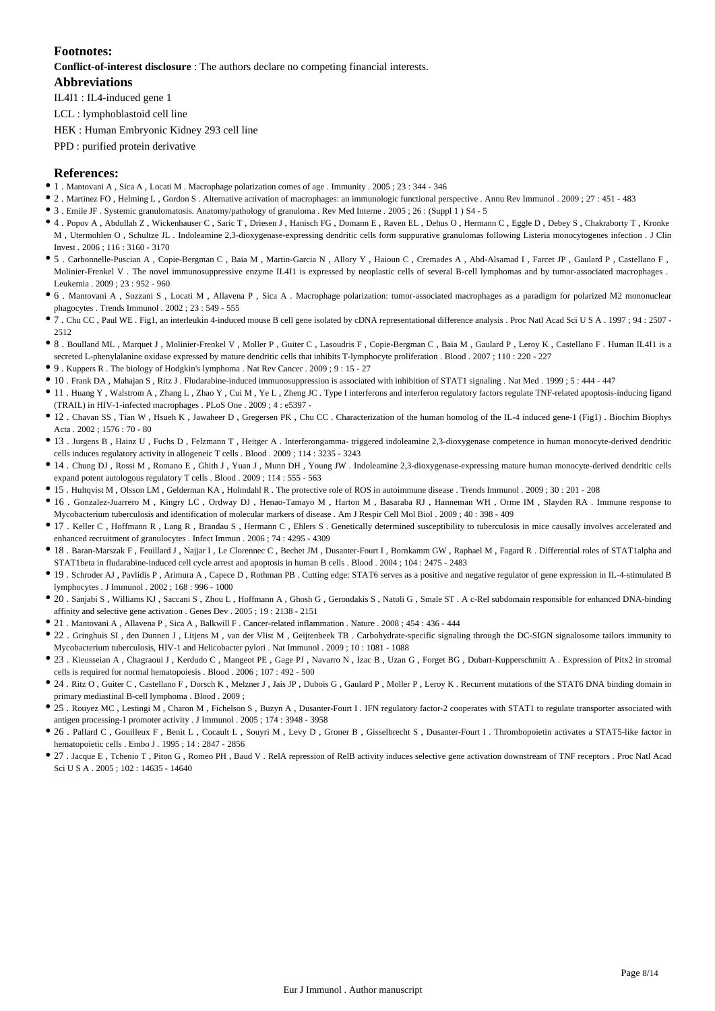## **Footnotes:**

**Conflict-of-interest disclosure** : The authors declare no competing financial interests.

## **Abbreviations**

IL4I1 : IL4-induced gene 1

LCL : lymphoblastoid cell line

HEK : Human Embryonic Kidney 293 cell line

PPD : purified protein derivative

## **References:**

- 1 . Mantovani A , Sica A , Locati M . Macrophage polarization comes of age . Immunity . 2005 ; 23 : 344 346
- 2 . Martinez FO , Helming L , Gordon S . Alternative activation of macrophages: an immunologic functional perspective . Annu Rev Immunol . 2009 ; 27 : 451 483
- 3 . Emile JF . Systemic granulomatosis. Anatomy/pathology of granuloma . Rev Med Interne . 2005 ; 26 : (Suppl 1 ) S4 5
- 4 . Popov A , Abdullah Z , Wickenhauser C , Saric T , Driesen J , Hanisch FG , Domann E , Raven EL , Dehus O , Hermann C , Eggle D , Debey S , Chakraborty T , Kronke M , Utermohlen O , Schultze JL . Indoleamine 2,3-dioxygenase-expressing dendritic cells form suppurative granulomas following Listeria monocytogenes infection . J Clin Invest . 2006 ; 116 : 3160 - 3170
- 5 . Carbonnelle-Puscian A , Copie-Bergman C , Baia M , Martin-Garcia N , Allory Y , Haioun C , Cremades A , Abd-Alsamad I , Farcet JP , Gaulard P , Castellano F , Molinier-Frenkel V. The novel immunosuppressive enzyme IL411 is expressed by neoplastic cells of several B-cell lymphomas and by tumor-associated macrophages. Leukemia . 2009 ; 23 : 952 - 960
- 6 . Mantovani A , Sozzani S , Locati M , Allavena P , Sica A . Macrophage polarization: tumor-associated macrophages as a paradigm for polarized M2 mononuclear phagocytes . Trends Immunol . 2002 ; 23 : 549 - 555
- 7 . Chu CC , Paul WE . Fig1, an interleukin 4-induced mouse B cell gene isolated by cDNA representational difference analysis . Proc Natl Acad Sci U S A . 1997 ; 94 : 2507 2512
- 8 . Boulland ML , Marquet J , Molinier-Frenkel V , Moller P , Guiter C , Lasoudris F , Copie-Bergman C , Baia M , Gaulard P , Leroy K , Castellano F . Human IL4I1 is a secreted L-phenylalanine oxidase expressed by mature dendritic cells that inhibits T-lymphocyte proliferation . Blood . 2007 ; 110 : 220 - 227
- $\bullet$  9 . Kuppers R . The biology of Hodgkin's lymphoma . Nat Rev Cancer . 2009 ; 9 : 15 27
- 10 . Frank DA , Mahajan S , Ritz J . Fludarabine-induced immunosuppression is associated with inhibition of STAT1 signaling . Nat Med . 1999 ; 5 : 444 447
- 11 . Huang Y , Walstrom A , Zhang L , Zhao Y , Cui M , Ye L , Zheng JC . Type I interferons and interferon regulatory factors regulate TNF-related apoptosis-inducing ligand  $(TRAII)$  in HIV-1-infected macrophages  $PLoS$  One  $2009 : 4 : e5397 -$
- 12 . Chavan SS , Tian W , Hsueh K , Jawaheer D , Gregersen PK , Chu CC . Characterization of the human homolog of the IL-4 induced gene-1 (Fig1) . Biochim Biophys Acta  $2002 \cdot 1576 \cdot 70 = 80$
- 13 . Jurgens B , Hainz U , Fuchs D , Felzmann T , Heitger A . Interferongamma- triggered indoleamine 2,3-dioxygenase competence in human monocyte-derived dendritic cells induces regulatory activity in allogeneic T cells . Blood . 2009 ; 114 : 3235 - 3243
- 14 . Chung DJ , Rossi M , Romano E , Ghith J , Yuan J , Munn DH , Young JW . Indoleamine 2,3-dioxygenase-expressing mature human monocyte-derived dendritic cells expand potent autologous regulatory T cells . Blood . 2009 ; 114 : 555 - 563
- 15 . Hultqvist M , Olsson LM , Gelderman KA , Holmdahl R . The protective role of ROS in autoimmune disease . Trends Immunol . 2009 ; 30 : 201 208
- 16 . Gonzalez-Juarrero M , Kingry LC , Ordway DJ , Henao-Tamayo M , Harton M , Basaraba RJ , Hanneman WH , Orme IM , Slayden RA . Immune response to Mycobacterium tuberculosis and identification of molecular markers of disease . Am J Respir Cell Mol Biol . 2009 ; 40 : 398 - 409
- 17 . Keller C , Hoffmann R , Lang R , Brandau S , Hermann C , Ehlers S . Genetically determined susceptibility to tuberculosis in mice causally involves accelerated and enhanced recruitment of granulocytes . Infect Immun . 2006 ; 74 : 4295 - 4309
- 18 . Baran-Marszak F , Feuillard J , Najjar I , Le Clorennec C , Bechet JM , Dusanter-Fourt I , Bornkamm GW , Raphael M , Fagard R . Differential roles of STAT1alpha and STAT1beta in fludarabine-induced cell cycle arrest and apoptosis in human B cells . Blood . 2004 ; 104 : 2475 - 2483
- 19 . Schroder AJ , Pavlidis P , Arimura A , Capece D , Rothman PB . Cutting edge: STAT6 serves as a positive and negative regulator of gene expression in IL-4-stimulated B lymphocytes . J Immunol . 2002 ; 168 : 996 - 1000
- 20 . Sanjabi S , Williams KJ , Saccani S , Zhou L , Hoffmann A , Ghosh G , Gerondakis S , Natoli G , Smale ST . A c-Rel subdomain responsible for enhanced DNA-binding affinity and selective gene activation . Genes Dev . 2005 ; 19 : 2138 - 2151
- 21 . Mantovani A , Allavena P , Sica A , Balkwill F . Cancer-related inflammation . Nature . 2008 ; 454 : 436 444
- 22 . Gringhuis SI , den Dunnen J , Litjens M , van der Vlist M , Geijtenbeek TB . Carbohydrate-specific signaling through the DC-SIGN signalosome tailors immunity to Mycobacterium tuberculosis, HIV-1 and Helicobacter pylori . Nat Immunol . 2009 ; 10 : 1081 - 1088
- 23 . Kieusseian A , Chagraoui J , Kerdudo C , Mangeot PE , Gage PJ , Navarro N , Izac B , Uzan G , Forget BG , Dubart-Kupperschmitt A . Expression of Pitx2 in stromal cells is required for normal hematopoiesis . Blood  $2006 \cdot 107 \cdot 492 = 500$
- 24 . Ritz O , Guiter C , Castellano F , Dorsch K , Melzner J , Jais JP , Dubois G , Gaulard P , Moller P , Leroy K . Recurrent mutations of the STAT6 DNA binding domain in primary mediastinal B-cell lymphoma . Blood . 2009 ;
- 25 . Rouyez MC , Lestingi M , Charon M , Fichelson S , Buzyn A , Dusanter-Fourt I . IFN regulatory factor-2 cooperates with STAT1 to regulate transporter associated with antigen processing-1 promoter activity . J Immunol . 2005 ; 174 : 3948 - 3958
- 26 . Pallard C , Gouilleux F , Benit L , Cocault L , Souyri M , Levy D , Groner B , Gisselbrecht S , Dusanter-Fourt I . Thrombopoietin activates a STAT5-like factor in hematopoietic cells . Embo J . 1995 ; 14 : 2847 - 2856
- 27 . Jacque E , Tchenio T , Piton G , Romeo PH , Baud V . RelA repression of RelB activity induces selective gene activation downstream of TNF receptors . Proc Natl Acad Sci U S A . 2005 ; 102 : 14635 - 14640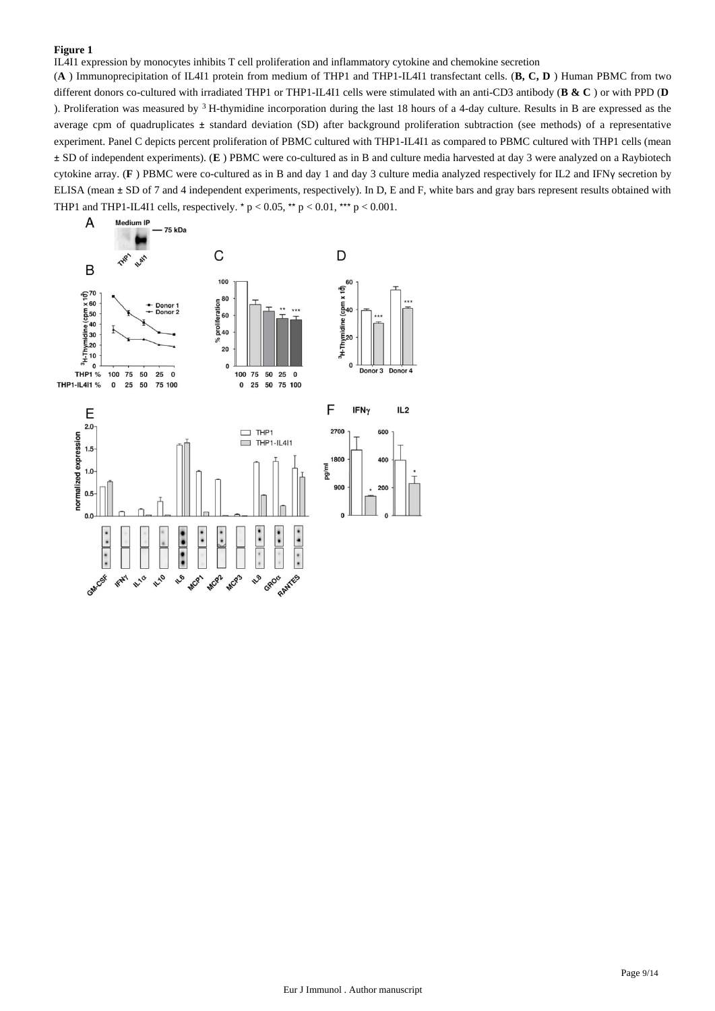IL4I1 expression by monocytes inhibits T cell proliferation and inflammatory cytokine and chemokine secretion

(**A** ) Immunoprecipitation of IL4I1 protein from medium of THP1 and THP1-IL4I1 transfectant cells. (**B, C, D** ) Human PBMC from two different donors co-cultured with irradiated THP1 or THP1-IL4I1 cells were stimulated with an anti-CD3 antibody (**B & C** ) or with PPD (**D**  ). Proliferation was measured by  $3$  H-thymidine incorporation during the last 18 hours of a 4-day culture. Results in B are expressed as the average cpm of quadruplicates ± standard deviation (SD) after background proliferation subtraction (see methods) of a representative experiment. Panel C depicts percent proliferation of PBMC cultured with THP1-IL4I1 as compared to PBMC cultured with THP1 cells (mean ± SD of independent experiments). (**E** ) PBMC were co-cultured as in B and culture media harvested at day 3 were analyzed on a Raybiotech cytokine array. (**F** ) PBMC were co-cultured as in B and day 1 and day 3 culture media analyzed respectively for IL2 and IFNγ secretion by ELISA (mean ± SD of 7 and 4 independent experiments, respectively). In D, E and F, white bars and gray bars represent results obtained with THP1 and THP1-IL4I1 cells, respectively. \*  $p < 0.05$ , \*\*  $p < 0.01$ , \*\*\*  $p < 0.001$ .

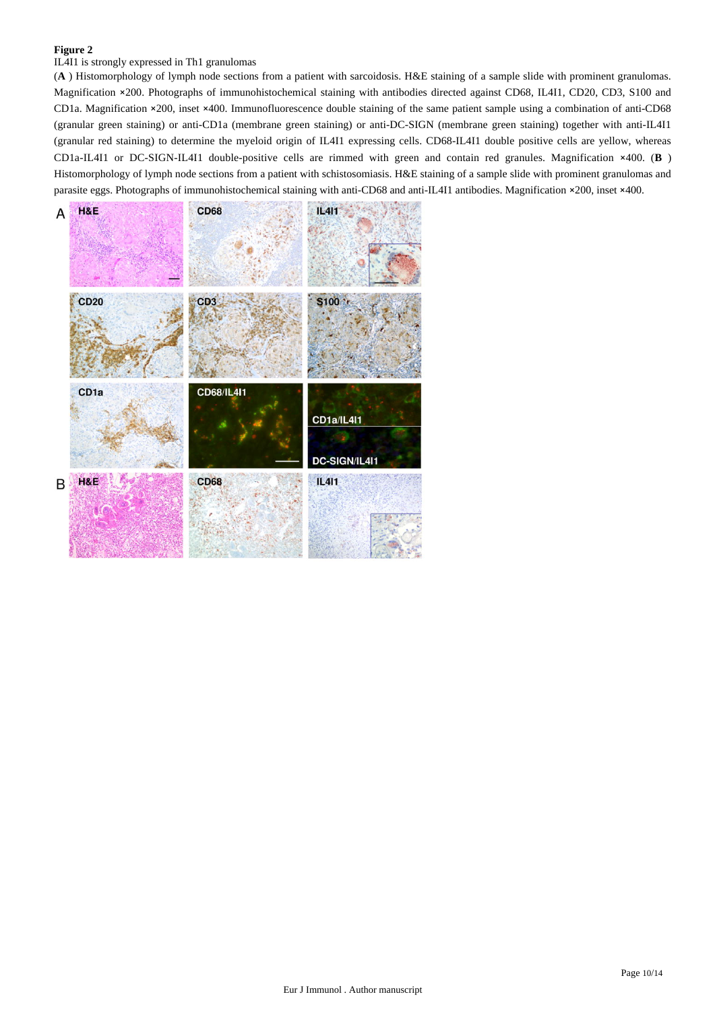# IL4I1 is strongly expressed in Th1 granulomas

(**A** ) Histomorphology of lymph node sections from a patient with sarcoidosis. H&E staining of a sample slide with prominent granulomas. Magnification ×200. Photographs of immunohistochemical staining with antibodies directed against CD68, IL4I1, CD20, CD3, S100 and CD1a. Magnification ×200, inset ×400. Immunofluorescence double staining of the same patient sample using a combination of anti-CD68 (granular green staining) or anti-CD1a (membrane green staining) or anti-DC-SIGN (membrane green staining) together with anti-IL4I1 (granular red staining) to determine the myeloid origin of IL4I1 expressing cells. CD68-IL4I1 double positive cells are yellow, whereas CD1a-IL4I1 or DC-SIGN-IL4I1 double-positive cells are rimmed with green and contain red granules. Magnification ×400. (**B** ) Histomorphology of lymph node sections from a patient with schistosomiasis. H&E staining of a sample slide with prominent granulomas and parasite eggs. Photographs of immunohistochemical staining with anti-CD68 and anti-IL4I1 antibodies. Magnification ×200, inset ×400.

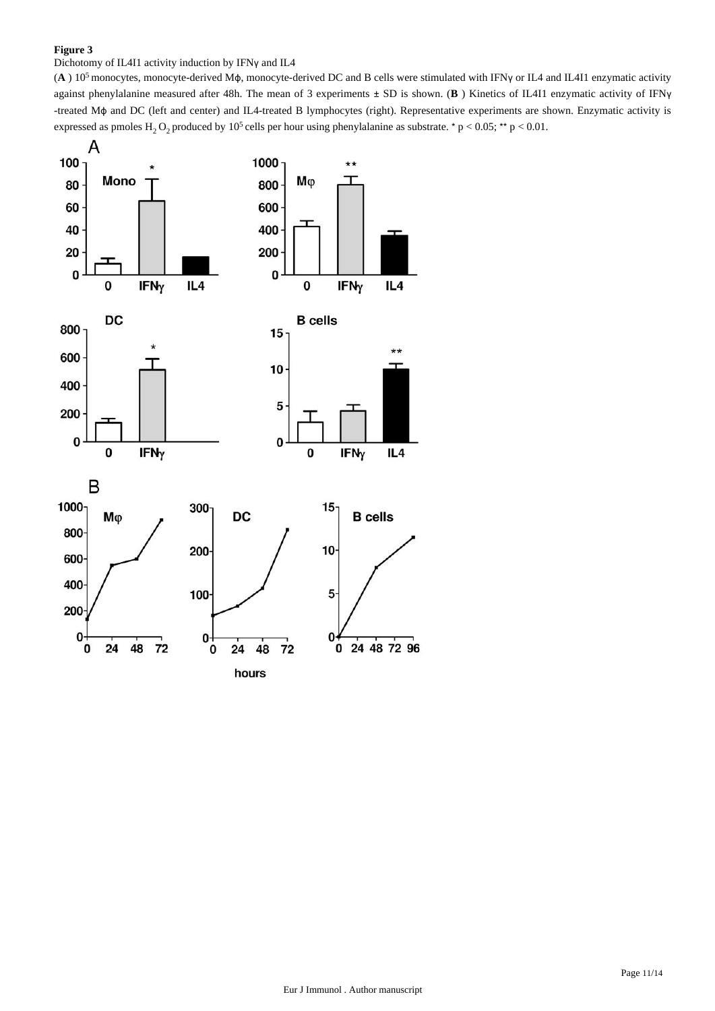# Dichotomy of IL4I1 activity induction by IFNγ and IL4

(A) 10<sup>5</sup> monocytes, monocyte-derived Mφ, monocyte-derived DC and B cells were stimulated with IFNγ or IL4 and IL4I1 enzymatic activity against phenylalanine measured after 48h. The mean of 3 experiments ± SD is shown. (**B** ) Kinetics of IL4I1 enzymatic activity of IFNγ -treated Mϕ and DC (left and center) and IL4-treated B lymphocytes (right). Representative experiments are shown. Enzymatic activity is expressed as pmoles  $H_2O_2$  produced by 10<sup>5</sup> cells per hour using phenylalanine as substrate.  $* p < 0.05$ ;  $** p < 0.01$ .

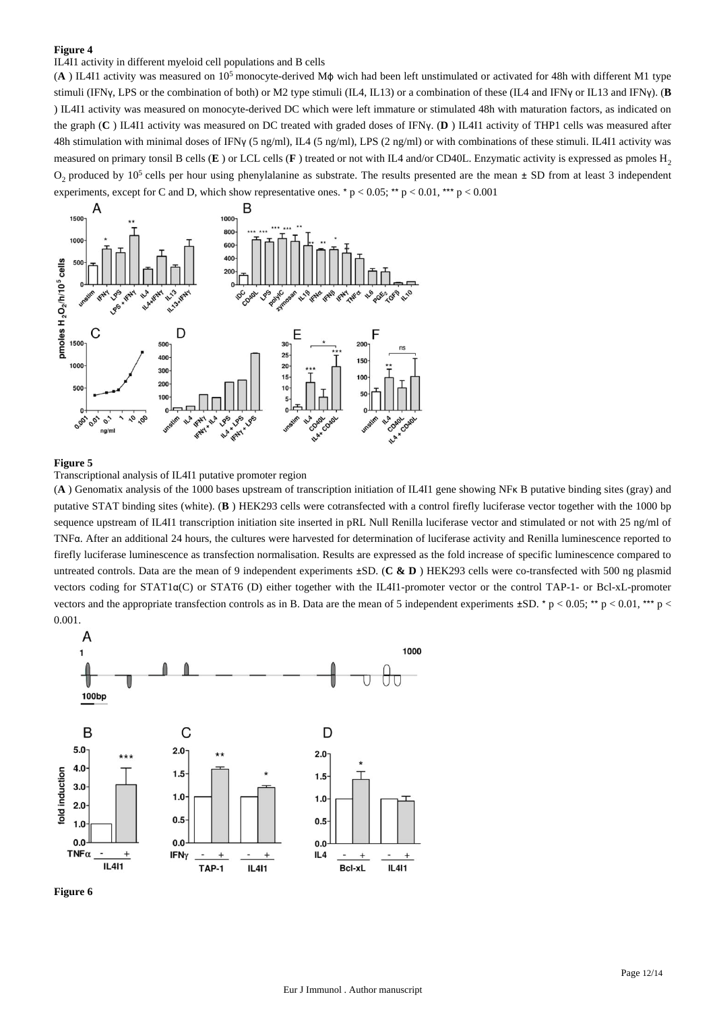## IL4I1 activity in different myeloid cell populations and B cells

(A) IL4I1 activity was measured on 10<sup>5</sup> monocyte-derived Mφ wich had been left unstimulated or activated for 48h with different M1 type stimuli (IFNγ, LPS or the combination of both) or M2 type stimuli (IL4, IL13) or a combination of these (IL4 and IFNγ or IL13 and IFNγ). (**B** ) IL4I1 activity was measured on monocyte-derived DC which were left immature or stimulated 48h with maturation factors, as indicated on the graph (**C** ) IL4I1 activity was measured on DC treated with graded doses of IFNγ. (**D** ) IL4I1 activity of THP1 cells was measured after 48h stimulation with minimal doses of IFNγ (5 ng/ml), IL4 (5 ng/ml), LPS (2 ng/ml) or with combinations of these stimuli. IL4I1 activity was measured on primary tonsil B cells (**E**) or LCL cells (**F**) treated or not with IL4 and/or CD40L. Enzymatic activity is expressed as pmoles H<sub>2</sub>  $O_2$  produced by 10<sup>5</sup> cells per hour using phenylalanine as substrate. The results presented are the mean  $\pm$  SD from at least 3 independent experiments, except for C and D, which show representative ones. \*  $p < 0.05$ ; \*\*  $p < 0.01$ , \*\*\*  $p < 0.001$ 



#### **Figure 5**



(**A** ) Genomatix analysis of the 1000 bases upstream of transcription initiation of IL4I1 gene showing NFκ B putative binding sites (gray) and putative STAT binding sites (white). (**B** ) HEK293 cells were cotransfected with a control firefly luciferase vector together with the 1000 bp sequence upstream of IL4I1 transcription initiation site inserted in pRL Null Renilla luciferase vector and stimulated or not with 25 ng/ml of TNFα. After an additional 24 hours, the cultures were harvested for determination of luciferase activity and Renilla luminescence reported to firefly luciferase luminescence as transfection normalisation. Results are expressed as the fold increase of specific luminescence compared to untreated controls. Data are the mean of 9 independent experiments ±SD. (**C & D** ) HEK293 cells were co-transfected with 500 ng plasmid vectors coding for STAT1α(C) or STAT6 (D) either together with the IL4I1-promoter vector or the control TAP-1- or Bcl-xL-promoter vectors and the appropriate transfection controls as in B. Data are the mean of 5 independent experiments  $\pm SD$ . \* p < 0.05; \*\* p < 0.01, \*\*\* p < 0.001.



**Figure 6**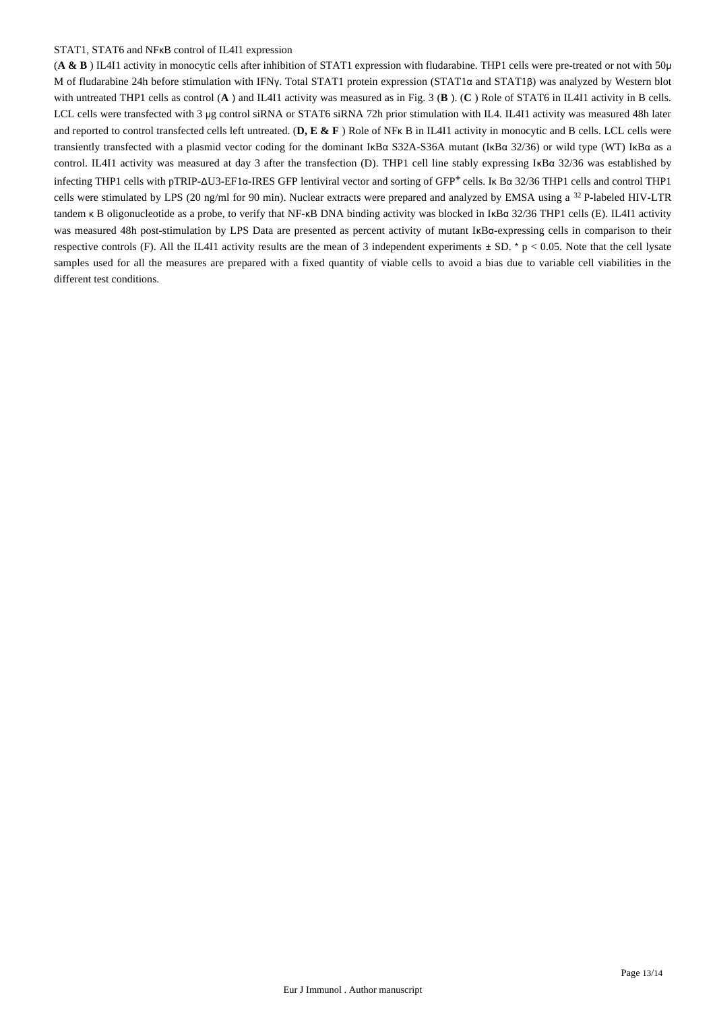#### STAT1, STAT6 and NFκB control of IL4I1 expression

(**A & B** ) IL4I1 activity in monocytic cells after inhibition of STAT1 expression with fludarabine. THP1 cells were pre-treated or not with 50μ M of fludarabine 24h before stimulation with IFNγ. Total STAT1 protein expression (STAT1α and STAT1β) was analyzed by Western blot with untreated THP1 cells as control (**A** ) and IL4I1 activity was measured as in Fig. 3 (**B** ). (**C** ) Role of STAT6 in IL4I1 activity in B cells. LCL cells were transfected with 3 μg control siRNA or STAT6 siRNA 72h prior stimulation with IL4. IL4I1 activity was measured 48h later and reported to control transfected cells left untreated. (**D, E & F** ) Role of NFκ B in IL4I1 activity in monocytic and B cells. LCL cells were transiently transfected with a plasmid vector coding for the dominant IκBα S32A-S36A mutant (IκBα 32/36) or wild type (WT) IκBα as a control. IL4I1 activity was measured at day 3 after the transfection (D). THP1 cell line stably expressing IκBα 32/36 was established by infecting THP1 cells with pTRIP-ΔU3-EF1α-IRES GFP lentiviral vector and sorting of GFP<sup>+</sup> cells. Ik Bα 32/36 THP1 cells and control THP1 cells were stimulated by LPS (20 ng/ml for 90 min). Nuclear extracts were prepared and analyzed by EMSA using a <sup>32</sup> P-labeled HIV-LTR tandem κ B oligonucleotide as a probe, to verify that NF-κB DNA binding activity was blocked in IκBα 32/36 THP1 cells (E). IL4I1 activity was measured 48h post-stimulation by LPS Data are presented as percent activity of mutant IκBα-expressing cells in comparison to their respective controls (F). All the IL4I1 activity results are the mean of 3 independent experiments  $\pm$  SD. \* p < 0.05. Note that the cell lysate samples used for all the measures are prepared with a fixed quantity of viable cells to avoid a bias due to variable cell viabilities in the different test conditions.